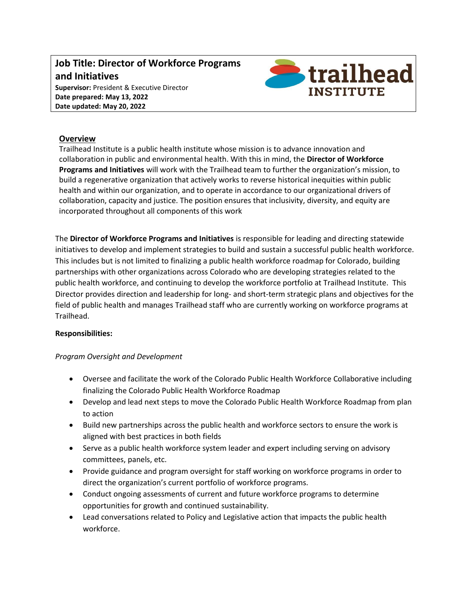## **Job Title: Director of Workforce Programs and Initiatives Supervisor:** President & Executive Director **Date prepared: May 13, 2022 Date updated: May 20, 2022**



## **Overview**

Trailhead Institute is a public health institute whose mission is to advance innovation and collaboration in public and environmental health. With this in mind, the **Director of Workforce Programs and Initiatives** will work with the Trailhead team to further the organization's mission, to build a regenerative organization that actively works to reverse historical inequities within public health and within our organization, and to operate in accordance to our organizational drivers of collaboration, capacity and justice. The position ensures that inclusivity, diversity, and equity are incorporated throughout all components of this work

The **Director of Workforce Programs and Initiatives** is responsible for leading and directing statewide initiatives to develop and implement strategies to build and sustain a successful public health workforce. This includes but is not limited to finalizing a public health workforce roadmap for Colorado, building partnerships with other organizations across Colorado who are developing strategies related to the public health workforce, and continuing to develop the workforce portfolio at Trailhead Institute. This Director provides direction and leadership for long- and short-term strategic plans and objectives for the field of public health and manages Trailhead staff who are currently working on workforce programs at Trailhead.

## **Responsibilities:**

## *Program Oversight and Development*

- Oversee and facilitate the work of the Colorado Public Health Workforce Collaborative including finalizing the Colorado Public Health Workforce Roadmap
- Develop and lead next steps to move the Colorado Public Health Workforce Roadmap from plan to action
- Build new partnerships across the public health and workforce sectors to ensure the work is aligned with best practices in both fields
- Serve as a public health workforce system leader and expert including serving on advisory committees, panels, etc.
- Provide guidance and program oversight for staff working on workforce programs in order to direct the organization's current portfolio of workforce programs.
- Conduct ongoing assessments of current and future workforce programs to determine opportunities for growth and continued sustainability.
- Lead conversations related to Policy and Legislative action that impacts the public health workforce.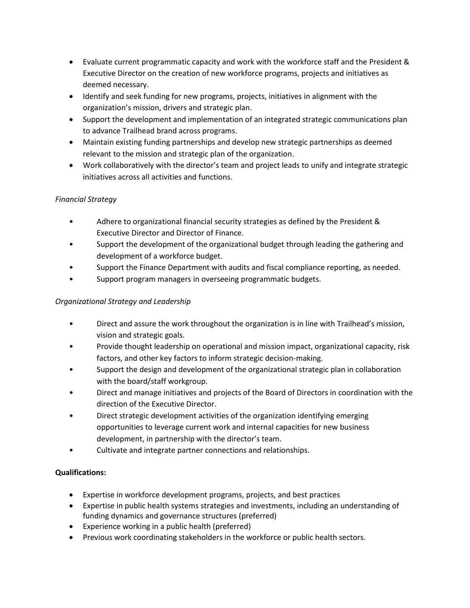- Evaluate current programmatic capacity and work with the workforce staff and the President & Executive Director on the creation of new workforce programs, projects and initiatives as deemed necessary.
- Identify and seek funding for new programs, projects, initiatives in alignment with the organization's mission, drivers and strategic plan.
- Support the development and implementation of an integrated strategic communications plan to advance Trailhead brand across programs.
- Maintain existing funding partnerships and develop new strategic partnerships as deemed relevant to the mission and strategic plan of the organization.
- Work collaboratively with the director's team and project leads to unify and integrate strategic initiatives across all activities and functions.

# *Financial Strategy*

- Adhere to organizational financial security strategies as defined by the President & Executive Director and Director of Finance.
- Support the development of the organizational budget through leading the gathering and development of a workforce budget.
- Support the Finance Department with audits and fiscal compliance reporting, as needed.
- Support program managers in overseeing programmatic budgets.

# *Organizational Strategy and Leadership*

- Direct and assure the work throughout the organization is in line with Trailhead's mission, vision and strategic goals.
- Provide thought leadership on operational and mission impact, organizational capacity, risk factors, and other key factors to inform strategic decision-making.
- Support the design and development of the organizational strategic plan in collaboration with the board/staff workgroup.
- Direct and manage initiatives and projects of the Board of Directors in coordination with the direction of the Executive Director.
- Direct strategic development activities of the organization identifying emerging opportunities to leverage current work and internal capacities for new business development, in partnership with the director's team.
- Cultivate and integrate partner connections and relationships.

# **Qualifications:**

- Expertise in workforce development programs, projects, and best practices
- Expertise in public health systems strategies and investments, including an understanding of funding dynamics and governance structures (preferred)
- Experience working in a public health (preferred)
- Previous work coordinating stakeholders in the workforce or public health sectors.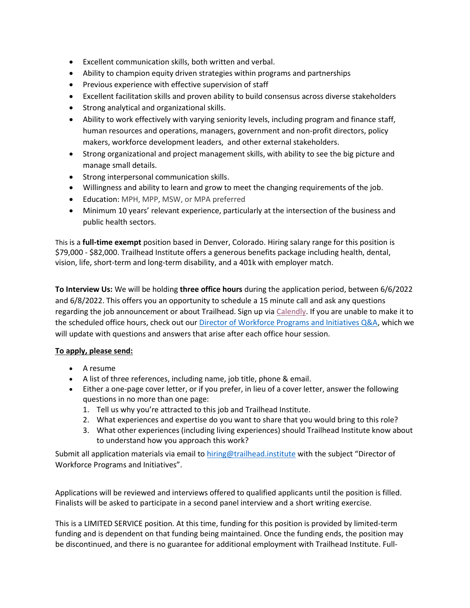- Excellent communication skills, both written and verbal.
- Ability to champion equity driven strategies within programs and partnerships
- Previous experience with effective supervision of staff
- Excellent facilitation skills and proven ability to build consensus across diverse stakeholders
- Strong analytical and organizational skills.
- Ability to work effectively with varying seniority levels, including program and finance staff, human resources and operations, managers, government and non-profit directors, policy makers, workforce development leaders, and other external stakeholders.
- Strong organizational and project management skills, with ability to see the big picture and manage small details.
- **•** Strong interpersonal communication skills.
- Willingness and ability to learn and grow to meet the changing requirements of the job.
- Education: MPH, MPP, MSW, or MPA preferred
- Minimum 10 years' relevant experience, particularly at the intersection of the business and public health sectors.

This is a **full-time exempt** position based in Denver, Colorado. Hiring salary range for this position is \$79,000 - \$82,000. Trailhead Institute offers a generous benefits package including health, dental, vision, life, short-term and long-term disability, and a 401k with employer match.

**To Interview Us:** We will be holding **three office hours** during the application period, between 6/6/2022 and 6/8/2022. This offers you an opportunity to schedule a 15 minute call and ask any questions regarding the job announcement or about Trailhead. Sign up via [Calendly.](https://calendly.com/slampe/workforce-director-office-hours) If you are unable to make it to the scheduled office hours, check out ou[r Director of Workforce Programs and Initiatives Q&A,](https://docs.google.com/document/d/1Ehtl3xzNv0W4bPLvid2_u2rp7r6OJKqFCtV912_K444/edit?usp=sharing) which we will update with questions and answers that arise after each office hour session.

## **To apply, please send:**

- A resume
- A list of three references, including name, job title, phone & email.
- Either a one-page cover letter, or if you prefer, in lieu of a cover letter, answer the following questions in no more than one page:
	- 1. Tell us why you're attracted to this job and Trailhead Institute.
	- 2. What experiences and expertise do you want to share that you would bring to this role?
	- 3. What other experiences (including living experiences) should Trailhead Institute know about to understand how you approach this work?

Submit all application materials via email to [hiring@trailhead.institute](mailto:hiring@trailhead.institute) with the subject "Director of Workforce Programs and Initiatives".

Applications will be reviewed and interviews offered to qualified applicants until the position is filled. Finalists will be asked to participate in a second panel interview and a short writing exercise.

This is a LIMITED SERVICE position. At this time, funding for this position is provided by limited-term funding and is dependent on that funding being maintained. Once the funding ends, the position may be discontinued, and there is no guarantee for additional employment with Trailhead Institute. Full